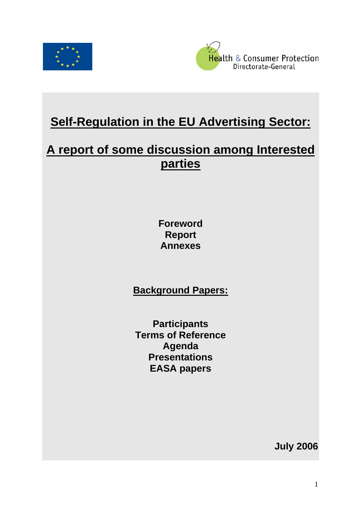



# **Self-Regulation in the EU Advertising Sector:**

# **A report of some discussion among Interested parties**

**Foreword Report Annexes** 

**Background Papers:**

**Participants Terms of Reference Agenda Presentations EASA papers** 

**July 2006**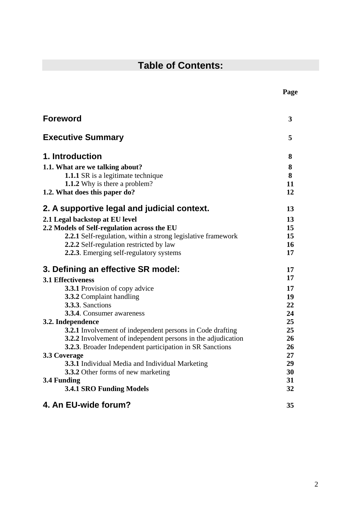## **Table of Contents:**

| <b>Foreword</b>                                                     | 3      |
|---------------------------------------------------------------------|--------|
| <b>Executive Summary</b>                                            | 5      |
| 1. Introduction                                                     | 8      |
| 1.1. What are we talking about?                                     | 8      |
| <b>1.1.1</b> SR is a legitimate technique                           | 8      |
| 1.1.2 Why is there a problem?                                       | 11     |
| 1.2. What does this paper do?                                       | 12     |
| 2. A supportive legal and judicial context.                         | 13     |
| 2.1 Legal backstop at EU level                                      | 13     |
| 2.2 Models of Self-regulation across the EU                         | 15     |
| 2.2.1 Self-regulation, within a strong legislative framework        | 15     |
| 2.2.2 Self-regulation restricted by law                             | 16     |
| 2.2.3. Emerging self-regulatory systems                             | 17     |
| 3. Defining an effective SR model:                                  | 17     |
| <b>3.1 Effectiveness</b>                                            | 17     |
| <b>3.3.1</b> Provision of copy advice                               | 17     |
| 3.3.2 Complaint handling                                            | 19     |
| 3.3.3. Sanctions                                                    | 22     |
| <b>3.3.4.</b> Consumer awareness                                    | 24     |
| 3.2. Independence                                                   | 25     |
| <b>3.2.1</b> Involvement of independent persons in Code drafting    | 25     |
| <b>3.2.2</b> Involvement of independent persons in the adjudication | 26     |
| <b>3.2.3.</b> Broader Independent participation in SR Sanctions     | 26     |
| 3.3 Coverage                                                        | $27\,$ |
| <b>3.3.1</b> Individual Media and Individual Marketing              | 29     |
| 3.3.2 Other forms of new marketing                                  | 30     |
| 3.4 Funding                                                         | 31     |
| <b>3.4.1 SRO Funding Models</b>                                     | 32     |
| 4. An EU-wide forum?                                                | 35     |

## **Page**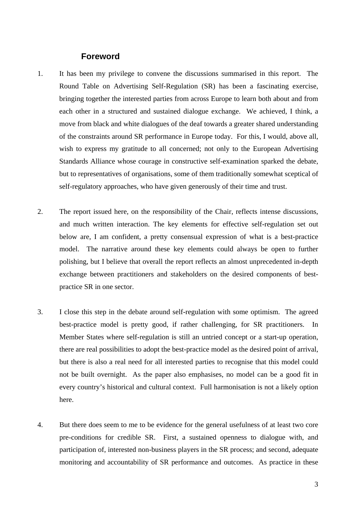#### **Foreword**

- 1. It has been my privilege to convene the discussions summarised in this report. The Round Table on Advertising Self-Regulation (SR) has been a fascinating exercise, bringing together the interested parties from across Europe to learn both about and from each other in a structured and sustained dialogue exchange. We achieved, I think, a move from black and white dialogues of the deaf towards a greater shared understanding of the constraints around SR performance in Europe today. For this, I would, above all, wish to express my gratitude to all concerned; not only to the European Advertising Standards Alliance whose courage in constructive self-examination sparked the debate, but to representatives of organisations, some of them traditionally somewhat sceptical of self-regulatory approaches, who have given generously of their time and trust.
- 2. The report issued here, on the responsibility of the Chair, reflects intense discussions, and much written interaction. The key elements for effective self-regulation set out below are, I am confident, a pretty consensual expression of what is a best-practice model. The narrative around these key elements could always be open to further polishing, but I believe that overall the report reflects an almost unprecedented in-depth exchange between practitioners and stakeholders on the desired components of bestpractice SR in one sector.
- 3. I close this step in the debate around self-regulation with some optimism. The agreed best-practice model is pretty good, if rather challenging, for SR practitioners. In Member States where self-regulation is still an untried concept or a start-up operation, there are real possibilities to adopt the best-practice model as the desired point of arrival, but there is also a real need for all interested parties to recognise that this model could not be built overnight. As the paper also emphasises, no model can be a good fit in every country's historical and cultural context. Full harmonisation is not a likely option here.
- 4. But there does seem to me to be evidence for the general usefulness of at least two core pre-conditions for credible SR. First, a sustained openness to dialogue with, and participation of, interested non-business players in the SR process; and second, adequate monitoring and accountability of SR performance and outcomes. As practice in these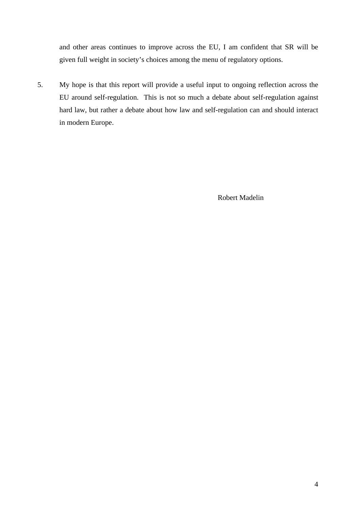and other areas continues to improve across the EU, I am confident that SR will be given full weight in society's choices among the menu of regulatory options.

5. My hope is that this report will provide a useful input to ongoing reflection across the EU around self-regulation. This is not so much a debate about self-regulation against hard law, but rather a debate about how law and self-regulation can and should interact in modern Europe.

Robert Madelin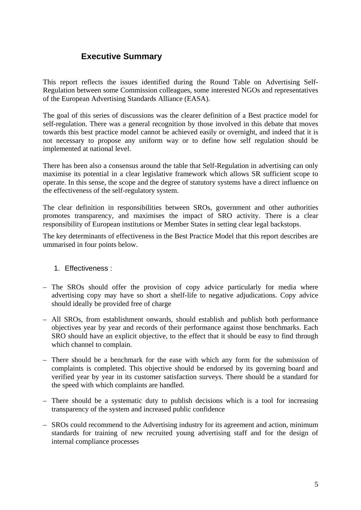## **Executive Summary**

This report reflects the issues identified during the Round Table on Advertising Self-Regulation between some Commission colleagues, some interested NGOs and representatives of the European Advertising Standards Alliance (EASA).

The goal of this series of discussions was the clearer definition of a Best practice model for self-regulation. There was a general recognition by those involved in this debate that moves towards this best practice model cannot be achieved easily or overnight, and indeed that it is not necessary to propose any uniform way or to define how self regulation should be implemented at national level.

There has been also a consensus around the table that Self-Regulation in advertising can only maximise its potential in a clear legislative framework which allows SR sufficient scope to operate. In this sense, the scope and the degree of statutory systems have a direct influence on the effectiveness of the self-regulatory system.

The clear definition in responsibilities between SROs, government and other authorities promotes transparency, and maximises the impact of SRO activity. There is a clear responsibility of European institutions or Member States in setting clear legal backstops.

The key determinants of effectiveness in the Best Practice Model that this report describes are ummarised in four points below.

#### 1. Effectiveness :

- The SROs should offer the provision of copy advice particularly for media where advertising copy may have so short a shelf-life to negative adjudications. Copy advice should ideally be provided free of charge
- All SROs, from establishment onwards, should establish and publish both performance objectives year by year and records of their performance against those benchmarks. Each SRO should have an explicit objective, to the effect that it should be easy to find through which channel to complain.
- There should be a benchmark for the ease with which any form for the submission of complaints is completed. This objective should be endorsed by its governing board and verified year by year in its customer satisfaction surveys. There should be a standard for the speed with which complaints are handled.
- There should be a systematic duty to publish decisions which is a tool for increasing transparency of the system and increased public confidence
- SROs could recommend to the Advertising industry for its agreement and action, minimum standards for training of new recruited young advertising staff and for the design of internal compliance processes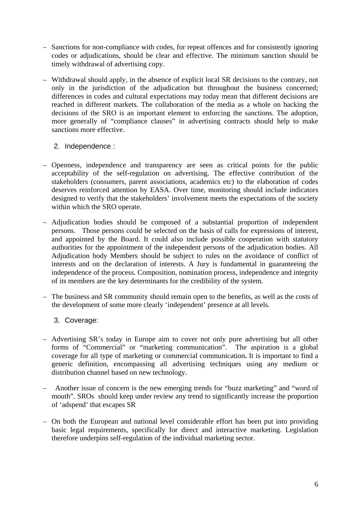- Sanctions for non-compliance with codes, for repeat offences and for consistently ignoring codes or adjudications, should be clear and effective. The minimum sanction should be timely withdrawal of advertising copy.
- Withdrawal should apply, in the absence of explicit local SR decisions to the contrary, not only in the jurisdiction of the adjudication but throughout the business concerned; differences in codes and cultural expectations may today mean that different decisions are reached in different markets. The collaboration of the media as a whole on backing the decisions of the SRO is an important element to enforcing the sanctions. The adoption, more generally of "compliance clauses" in advertising contracts should help to make sanctions more effective.

#### 2. Independence :

- Openness, independence and transparency are seen as critical points for the public acceptability of the self-regulation on advertising. The effective contribution of the stakeholders (consumers, parent associations, academics etc) to the elaboration of codes deserves reinforced attention by EASA. Over time, monitoring should include indicators designed to verify that the stakeholders' involvement meets the expectations of the society within which the SRO operate.
- Adjudication bodies should be composed of a substantial proportion of independent persons. Those persons could be selected on the basis of calls for expressions of interest, and appointed by the Board. It could also include possible cooperation with statutory authorities for the appointment of the independent persons of the adjudication bodies. All Adjudication body Members should be subject to rules on the avoidance of conflict of interests and on the declaration of interests. A Jury is fundamental in guaranteeing the independence of the process. Composition, nomination process, independence and integrity of its members are the key determinants for the credibility of the system.
- The business and SR community should remain open to the benefits, as well as the costs of the development of some more clearly 'independent' presence at all levels.
	- 3. Coverage:
- Advertising SR's today in Europe aim to cover not only pure advertising but all other forms of "Commercial" or "marketing communication". The aspiration is a global coverage for all type of marketing or commercial communication**.** It is important to find a generic definition, encompassing all advertising techniques using any medium or distribution channel based on new technology.
- Another issue of concern is the new emerging trends for "buzz marketing" and "word of mouth". SROs should keep under review any trend to significantly increase the proportion of 'adspend' that escapes SR
- On both the European and national level considerable effort has been put into providing basic legal requirements, specifically for direct and interactive marketing. Legislation therefore underpins self-regulation of the individual marketing sector.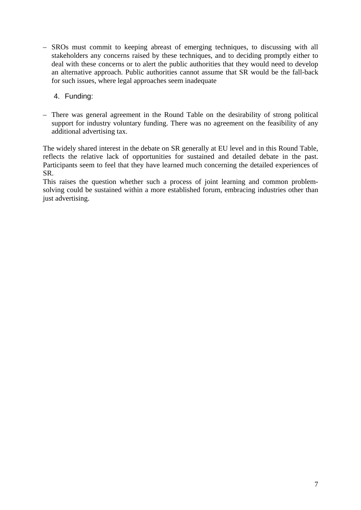- SROs must commit to keeping abreast of emerging techniques, to discussing with all stakeholders any concerns raised by these techniques, and to deciding promptly either to deal with these concerns or to alert the public authorities that they would need to develop an alternative approach. Public authorities cannot assume that SR would be the fall-back for such issues, where legal approaches seem inadequate
	- 4. Funding:
- There was general agreement in the Round Table on the desirability of strong political support for industry voluntary funding. There was no agreement on the feasibility of any additional advertising tax.

The widely shared interest in the debate on SR generally at EU level and in this Round Table, reflects the relative lack of opportunities for sustained and detailed debate in the past. Participants seem to feel that they have learned much concerning the detailed experiences of SR.

This raises the question whether such a process of joint learning and common problemsolving could be sustained within a more established forum, embracing industries other than just advertising.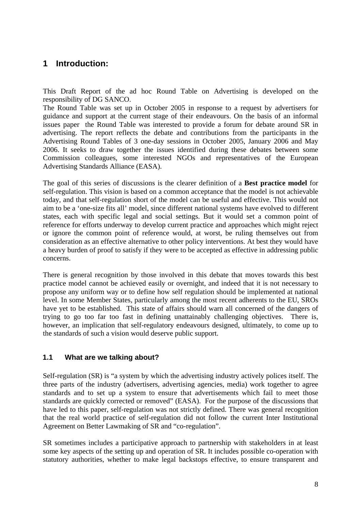## **1 Introduction:**

This Draft Report of the ad hoc Round Table on Advertising is developed on the responsibility of DG SANCO.

The Round Table was set up in October 2005 in response to a request by advertisers for guidance and support at the current stage of their endeavours. On the basis of an informal issues paper the Round Table was interested to provide a forum for debate around SR in advertising. The report reflects the debate and contributions from the participants in the Advertising Round Tables of 3 one-day sessions in October 2005, January 2006 and May 2006. It seeks to draw together the issues identified during these debates between some Commission colleagues, some interested NGOs and representatives of the European Advertising Standards Alliance (EASA).

The goal of this series of discussions is the clearer definition of a **Best practice model** for self-regulation. This vision is based on a common acceptance that the model is not achievable today, and that self-regulation short of the model can be useful and effective. This would not aim to be a 'one-size fits all' model, since different national systems have evolved to different states, each with specific legal and social settings. But it would set a common point of reference for efforts underway to develop current practice and approaches which might reject or ignore the common point of reference would, at worst, be ruling themselves out from consideration as an effective alternative to other policy interventions. At best they would have a heavy burden of proof to satisfy if they were to be accepted as effective in addressing public concerns.

There is general recognition by those involved in this debate that moves towards this best practice model cannot be achieved easily or overnight, and indeed that it is not necessary to propose any uniform way or to define how self regulation should be implemented at national level. In some Member States, particularly among the most recent adherents to the EU, SROs have yet to be established. This state of affairs should warn all concerned of the dangers of trying to go too far too fast in defining unattainably challenging objectives. There is, however, an implication that self-regulatory endeavours designed, ultimately, to come up to the standards of such a vision would deserve public support.

#### **1.1 What are we talking about?**

Self-regulation (SR) is "a system by which the advertising industry actively polices itself. The three parts of the industry (advertisers, advertising agencies, media) work together to agree standards and to set up a system to ensure that advertisements which fail to meet those standards are quickly corrected or removed" (EASA). For the purpose of the discussions that have led to this paper, self-regulation was not strictly defined. There was general recognition that the real world practice of self-regulation did not follow the current Inter Institutional Agreement on Better Lawmaking of SR and "co-regulation".

SR sometimes includes a participative approach to partnership with stakeholders in at least some key aspects of the setting up and operation of SR. It includes possible co-operation with statutory authorities, whether to make legal backstops effective, to ensure transparent and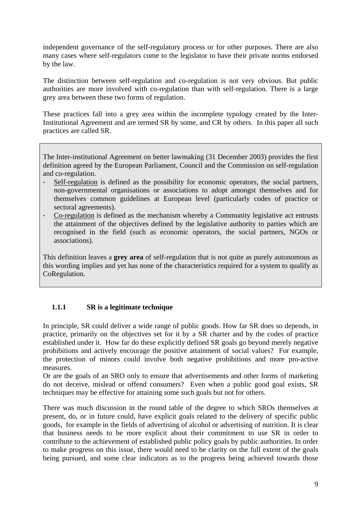independent governance of the self-regulatory process or for other purposes. There are also many cases where self-regulators come to the legislator to have their private norms endorsed by the law.

The distinction between self-regulation and co-regulation is not very obvious. But public authorities are more involved with co-regulation than with self-regulation. There is a large grey area between these two forms of regulation.

These practices fall into a grey area within the incomplete typology created by the Inter-Institutional Agreement and are termed SR by some, and CR by others. In this paper all such practices are called SR.

The Inter-institutional Agreement on better lawmaking (31 December 2003) provides the first definition agreed by the European Parliament, Council and the Commission on self-regulation and co-regulation.

- Self-regulation is defined as the possibility for economic operators, the social partners, non-governmental organisations or associations to adopt amongst themselves and for themselves common guidelines at European level (particularly codes of practice or sectoral agreements).
- Co-regulation is defined as the mechanism whereby a Community legislative act entrusts the attainment of the objectives defined by the legislative authority to parties which are recognised in the field (such as economic operators, the social partners, NGOs or associations).

This definition leaves a **grey area** of self-regulation that is not quite as purely autonomous as this wording implies and yet has none of the characteristics required for a system to qualify as CoRegulation.

## **1.1.1 SR is a legitimate technique**

In principle, SR could deliver a wide range of public goods. How far SR does so depends, in practice, primarily on the objectives set for it by a SR charter and by the codes of practice established under it. How far do these explicitly defined SR goals go beyond merely negative prohibitions and actively encourage the positive attainment of social values? For example, the protection of minors could involve both negative prohibitions and more pro-active measures.

Or are the goals of an SRO only to ensure that advertisements and other forms of marketing do not deceive, mislead or offend consumers? Even when a public good goal exists, SR techniques may be effective for attaining some such goals but not for others.

There was much discussion in the round table of the degree to which SROs themselves at present, do, or in future could, have explicit goals related to the delivery of specific public goods, for example in the fields of advertising of alcohol or advertising of nutrition. It is clear that business needs to be more explicit about their commitment to use SR in order to contribute to the achievement of established public policy goals by public authorities. In order to make progress on this issue, there would need to be clarity on the full extent of the goals being pursued, and some clear indicators as to the progress being achieved towards those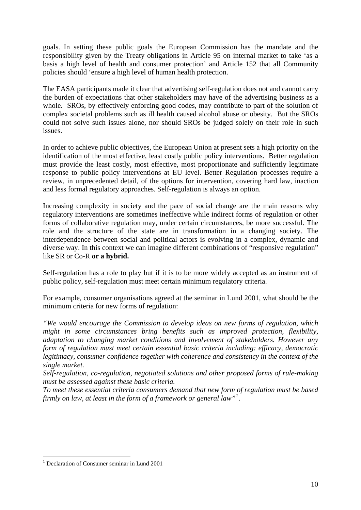goals. In setting these public goals the European Commission has the mandate and the responsibility given by the Treaty obligations in Article 95 on internal market to take 'as a basis a high level of health and consumer protection' and Article 152 that all Community policies should 'ensure a high level of human health protection.

The EASA participants made it clear that advertising self-regulation does not and cannot carry the burden of expectations that other stakeholders may have of the advertising business as a whole. SROs, by effectively enforcing good codes, may contribute to part of the solution of complex societal problems such as ill health caused alcohol abuse or obesity. But the SROs could not solve such issues alone, nor should SROs be judged solely on their role in such issues.

In order to achieve public objectives, the European Union at present sets a high priority on the identification of the most effective, least costly public policy interventions. Better regulation must provide the least costly, most effective, most proportionate and sufficiently legitimate response to public policy interventions at EU level. Better Regulation processes require a review, in unprecedented detail, of the options for intervention, covering hard law, inaction and less formal regulatory approaches. Self-regulation is always an option.

Increasing complexity in society and the pace of social change are the main reasons why regulatory interventions are sometimes ineffective while indirect forms of regulation or other forms of collaborative regulation may, under certain circumstances, be more successful. The role and the structure of the state are in transformation in a changing society. The interdependence between social and political actors is evolving in a complex, dynamic and diverse way. In this context we can imagine different combinations of "responsive regulation" like SR or Co-R **or a hybrid.** 

Self-regulation has a role to play but if it is to be more widely accepted as an instrument of public policy, self-regulation must meet certain minimum regulatory criteria.

For example, consumer organisations agreed at the seminar in Lund 2001, what should be the minimum criteria for new forms of regulation:

*"We would encourage the Commission to develop ideas on new forms of regulation, which might in some circumstances bring benefits such as improved protection, flexibility, adaptation to changing market conditions and involvement of stakeholders. However any form of regulation must meet certain essential basic criteria including: efficacy, democratic legitimacy, consumer confidence together with coherence and consistency in the context of the single market.* 

*Self-regulation, co-regulation, negotiated solutions and other proposed forms of rule-making must be assessed against these basic criteria.* 

*To meet these essential criteria consumers demand that new form of regulation must be based firmly on law, at least in the form of a framework or general law"[1](#page-9-0) .* 

1

<span id="page-9-0"></span><sup>1</sup> Declaration of Consumer seminar in Lund 2001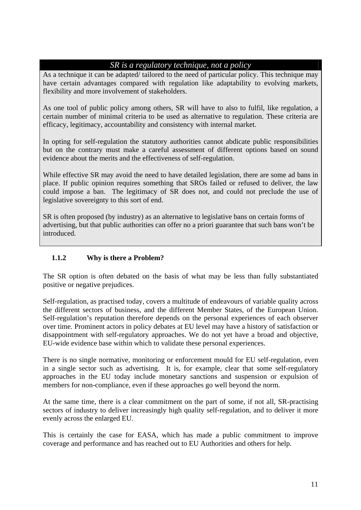## *SR is a regulatory technique, not a policy*

As a technique it can be adapted/ tailored to the need of particular policy. This technique may have certain advantages compared with regulation like adaptability to evolving markets, flexibility and more involvement of stakeholders.

As one tool of public policy among others, SR will have to also to fulfil, like regulation, a certain number of minimal criteria to be used as alternative to regulation. These criteria are efficacy, legitimacy, accountability and consistency with internal market.

In opting for self-regulation the statutory authorities cannot abdicate public responsibilities but on the contrary must make a careful assessment of different options based on sound evidence about the merits and the effectiveness of self-regulation.

While effective SR may avoid the need to have detailed legislation, there are some ad bans in place. If public opinion requires something that SROs failed or refused to deliver, the law could impose a ban. The legitimacy of SR does not, and could not preclude the use of legislative sovereignty to this sort of end.

SR is often proposed (by industry) as an alternative to legislative bans on certain forms of advertising, but that public authorities can offer no a priori guarantee that such bans won't be introduced.

## **1.1.2 Why is there a Problem?**

The SR option is often debated on the basis of what may be less than fully substantiated positive or negative prejudices.

Self-regulation, as practised today, covers a multitude of endeavours of variable quality across the different sectors of business, and the different Member States, of the European Union. Self-regulation's reputation therefore depends on the personal experiences of each observer over time. Prominent actors in policy debates at EU level may have a history of satisfaction or disappointment with self-regulatory approaches. We do not yet have a broad and objective, EU-wide evidence base within which to validate these personal experiences.

There is no single normative, monitoring or enforcement mould for EU self-regulation, even in a single sector such as advertising. It is, for example, clear that some self-regulatory approaches in the EU today include monetary sanctions and suspension or expulsion of members for non-compliance, even if these approaches go well beyond the norm.

At the same time, there is a clear commitment on the part of some, if not all, SR-practising sectors of industry to deliver increasingly high quality self-regulation, and to deliver it more evenly across the enlarged EU.

This is certainly the case for EASA, which has made a public commitment to improve coverage and performance and has reached out to EU Authorities and others for help.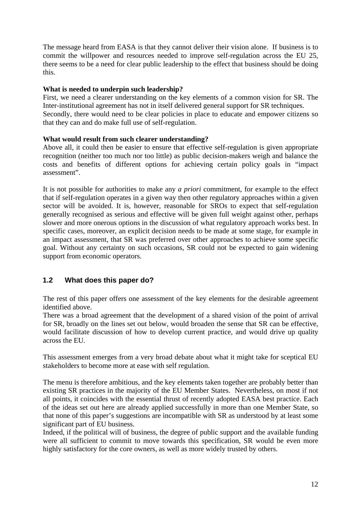The message heard from EASA is that they cannot deliver their vision alone. If business is to commit the willpower and resources needed to improve self-regulation across the EU 25, there seems to be a need for clear public leadership to the effect that business should be doing this.

#### **What is needed to underpin such leadership?**

First, we need a clearer understanding on the key elements of a common vision for SR. The Inter-institutional agreement has not in itself delivered general support for SR techniques. Secondly, there would need to be clear policies in place to educate and empower citizens so that they can and do make full use of self-regulation.

#### **What would result from such clearer understanding?**

Above all, it could then be easier to ensure that effective self-regulation is given appropriate recognition (neither too much nor too little) as public decision-makers weigh and balance the costs and benefits of different options for achieving certain policy goals in "impact assessment".

It is not possible for authorities to make any *a priori* commitment, for example to the effect that if self-regulation operates in a given way then other regulatory approaches within a given sector will be avoided. It is, however, reasonable for SROs to expect that self-regulation generally recognised as serious and effective will be given full weight against other, perhaps slower and more onerous options in the discussion of what regulatory approach works best. In specific cases, moreover, an explicit decision needs to be made at some stage, for example in an impact assessment, that SR was preferred over other approaches to achieve some specific goal. Without any certainty on such occasions, SR could not be expected to gain widening support from economic operators.

## **1.2 What does this paper do?**

The rest of this paper offers one assessment of the key elements for the desirable agreement identified above.

There was a broad agreement that the development of a shared vision of the point of arrival for SR, broadly on the lines set out below, would broaden the sense that SR can be effective, would facilitate discussion of how to develop current practice, and would drive up quality across the EU.

This assessment emerges from a very broad debate about what it might take for sceptical EU stakeholders to become more at ease with self regulation.

The menu is therefore ambitious, and the key elements taken together are probably better than existing SR practices in the majority of the EU Member States. Nevertheless, on most if not all points, it coincides with the essential thrust of recently adopted EASA best practice. Each of the ideas set out here are already applied successfully in more than one Member State, so that none of this paper's suggestions are incompatible with SR as understood by at least some significant part of EU business.

Indeed, if the political will of business, the degree of public support and the available funding were all sufficient to commit to move towards this specification, SR would be even more highly satisfactory for the core owners, as well as more widely trusted by others.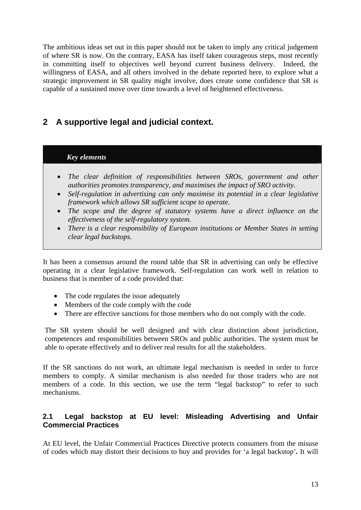The ambitious ideas set out in this paper should not be taken to imply any critical judgement of where SR is now. On the contrary, EASA has itself taken courageous steps, most recently in committing itself to objectives well beyond current business delivery. Indeed, the willingness of EASA, and all others involved in the debate reported here, to explore what a strategic improvement in SR quality might involve, does create some confidence that SR is capable of a sustained move over time towards a level of heightened effectiveness.

## **2 A supportive legal and judicial context.**

#### *Key elements*

- *The clear definition of responsibilities between SROs, government and other authorities promotes transparency, and maximises the impact of SRO activity.*
- *Self-regulation in advertising can only maximise its potential in a clear legislative framework which allows SR sufficient scope to operate.*
- *The scope and the degree of statutory systems have a direct influence on the effectiveness of the self-regulatory system.*
- *There is a clear responsibility of European institutions or Member States in setting clear legal backstops.*

It has been a consensus around the round table that SR in advertising can only be effective operating in a clear legislative framework. Self-regulation can work well in relation to business that is member of a code provided that:

- The code regulates the issue adequately
- Members of the code comply with the code
- There are effective sanctions for those members who do not comply with the code.

The SR system should be well designed and with clear distinction about jurisdiction, competences and responsibilities between SROs and public authorities. The system must be able to operate effectively and to deliver real results for all the stakeholders.

If the SR sanctions do not work, an ultimate legal mechanism is needed in order to force members to comply. A similar mechanism is also needed for those traders who are not members of a code. In this section, we use the term "legal backstop" to refer to such mechanisms.

## **2.1 Legal backstop at EU level: Misleading Advertising and Unfair Commercial Practices**

At EU level, the Unfair Commercial Practices Directive protects consumers from the misuse of codes which may distort their decisions to buy and provides for 'a legal backstop'*.* It will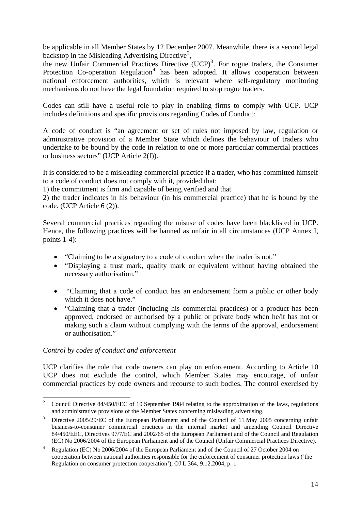be applicable in all Member States by 12 December 2007. Meanwhile, there is a second legal backstop in the Misleading Advertising Directive<sup>[2](#page-13-0)</sup>,

the new Unfair Commercial Practices Directive  $(UCP)^3$  $(UCP)^3$ . For rogue traders, the Consumer Protection Co-operation Regulation<sup>[4](#page-13-2)</sup> has been adopted. It allows cooperation between national enforcement authorities, which is relevant where self-regulatory monitoring mechanisms do not have the legal foundation required to stop rogue traders.

Codes can still have a useful role to play in enabling firms to comply with UCP. UCP includes definitions and specific provisions regarding Codes of Conduct:

A code of conduct is "an agreement or set of rules not imposed by law, regulation or administrative provision of a Member State which defines the behaviour of traders who undertake to be bound by the code in relation to one or more particular commercial practices or business sectors" (UCP Article 2(f)).

It is considered to be a misleading commercial practice if a trader, who has committed himself to a code of conduct does not comply with it, provided that:

1) the commitment is firm and capable of being verified and that

2) the trader indicates in his behaviour (in his commercial practice) that he is bound by the code. (UCP Article 6 (2)).

Several commercial practices regarding the misuse of codes have been blacklisted in UCP. Hence, the following practices will be banned as unfair in all circumstances (UCP Annex I, points 1-4):

- "Claiming to be a signatory to a code of conduct when the trader is not."
- "Displaying a trust mark, quality mark or equivalent without having obtained the necessary authorisation."
- "Claiming that a code of conduct has an endorsement form a public or other body which it does not have."
- "Claiming that a trader (including his commercial practices) or a product has been approved, endorsed or authorised by a public or private body when he/it has not or making such a claim without complying with the terms of the approval, endorsement or authorisation."

#### *Control by codes of conduct and enforcement*

UCP clarifies the role that code owners can play on enforcement. According to Article 10 UCP does not exclude the control, which Member States may encourage, of unfair commercial practices by code owners and recourse to such bodies. The control exercised by

<span id="page-13-0"></span> $\frac{1}{2}$  Council Directive 84/450/EEC of 10 September 1984 relating to the approximation of the laws, regulations and administrative provisions of the Member States concerning misleading advertising.

<span id="page-13-1"></span>Directive 2005/29/EC of the European Parliament and of the Council of 11 May 2005 concerning unfair business-to-consumer commercial practices in the internal market and amending Council Directive 84/450/EEC, Directives 97/7/EC and 2002/65 of the European Parliament and of the Council and Regulation (EC) No 2006/2004 of the European Parliament and of the Council (Unfair Commercial Practices Directive).<br><sup>4</sup> Besulation (EC) No 2006/2004 of the European Parliament and of the Council of 27 October 2004 on

<span id="page-13-2"></span>Regulation (EC) No 2006/2004 of the European Parliament and of the Council of 27 October 2004 on cooperation between national authorities responsible for the enforcement of consumer protection laws ('the Regulation on consumer protection cooperation'), OJ L 364, 9.12.2004, p. 1.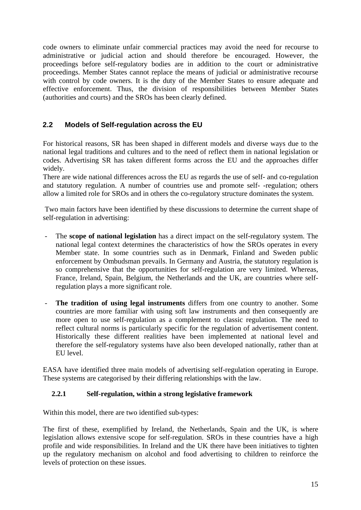code owners to eliminate unfair commercial practices may avoid the need for recourse to administrative or judicial action and should therefore be encouraged. However, the proceedings before self-regulatory bodies are in addition to the court or administrative proceedings. Member States cannot replace the means of judicial or administrative recourse with control by code owners. It is the duty of the Member States to ensure adequate and effective enforcement. Thus, the division of responsibilities between Member States (authorities and courts) and the SROs has been clearly defined.

## **2.2 Models of Self-regulation across the EU**

For historical reasons, SR has been shaped in different models and diverse ways due to the national legal traditions and cultures and to the need of reflect them in national legislation or codes. Advertising SR has taken different forms across the EU and the approaches differ widely.

There are wide national differences across the EU as regards the use of self- and co-regulation and statutory regulation. A number of countries use and promote self- -regulation; others allow a limited role for SROs and in others the co-regulatory structure dominates the system.

 Two main factors have been identified by these discussions to determine the current shape of self-regulation in advertising:

- The **scope of national legislation** has a direct impact on the self-regulatory system. The national legal context determines the characteristics of how the SROs operates in every Member state. In some countries such as in Denmark, Finland and Sweden public enforcement by Ombudsman prevails. In Germany and Austria, the statutory regulation is so comprehensive that the opportunities for self-regulation are very limited. Whereas, France, Ireland, Spain, Belgium, the Netherlands and the UK, are countries where selfregulation plays a more significant role.
- **The tradition of using legal instruments** differs from one country to another. Some countries are more familiar with using soft law instruments and then consequently are more open to use self-regulation as a complement to classic regulation. The need to reflect cultural norms is particularly specific for the regulation of advertisement content. Historically these different realities have been implemented at national level and therefore the self-regulatory systems have also been developed nationally, rather than at EU level.

EASA have identified three main models of advertising self-regulation operating in Europe. These systems are categorised by their differing relationships with the law.

#### **2.2.1 Self-regulation, within a strong legislative framework**

Within this model, there are two identified sub-types:

The first of these, exemplified by Ireland, the Netherlands, Spain and the UK, is where legislation allows extensive scope for self-regulation. SROs in these countries have a high profile and wide responsibilities. In Ireland and the UK there have been initiatives to tighten up the regulatory mechanism on alcohol and food advertising to children to reinforce the levels of protection on these issues.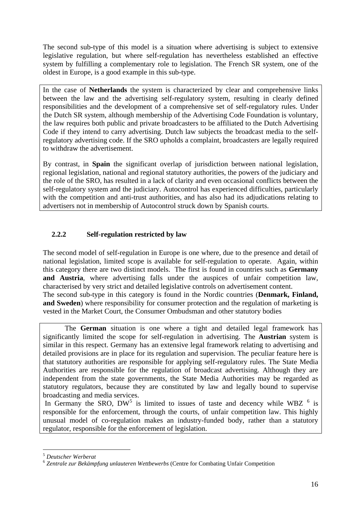The second sub-type of this model is a situation where advertising is subject to extensive legislative regulation, but where self-regulation has nevertheless established an effective system by fulfilling a complementary role to legislation. The French SR system, one of the oldest in Europe, is a good example in this sub-type.

In the case of **Netherlands** the system is characterized by clear and comprehensive links between the law and the advertising self-regulatory system, resulting in clearly defined responsibilities and the development of a comprehensive set of self-regulatory rules. Under the Dutch SR system, although membership of the Advertising Code Foundation is voluntary, the law requires both public and private broadcasters to be affiliated to the Dutch Advertising Code if they intend to carry advertising. Dutch law subjects the broadcast media to the selfregulatory advertising code. If the SRO upholds a complaint, broadcasters are legally required to withdraw the advertisement.

By contrast, in **Spain** the significant overlap of jurisdiction between national legislation, regional legislation, national and regional statutory authorities, the powers of the judiciary and the role of the SRO, has resulted in a lack of clarity and even occasional conflicts between the self-regulatory system and the judiciary. Autocontrol has experienced difficulties, particularly with the competition and anti-trust authorities, and has also had its adjudications relating to advertisers not in membership of Autocontrol struck down by Spanish courts.

## **2.2.2 Self-regulation restricted by law**

The second model of self-regulation in Europe is one where, due to the presence and detail of national legislation, limited scope is available for self-regulation to operate. Again, within this category there are two distinct models. The first is found in countries such as **Germany and Austria**, where advertising falls under the auspices of unfair competition law, characterised by very strict and detailed legislative controls on advertisement content. The second sub-type in this category is found in the Nordic countries (**Denmark, Finland, and Sweden**) where responsibility for consumer protection and the regulation of marketing is vested in the Market Court, the Consumer Ombudsman and other statutory bodies

The **German** situation is one where a tight and detailed legal framework has significantly limited the scope for self-regulation in advertising. The **Austrian** system is similar in this respect. Germany has an extensive legal framework relating to advertising and detailed provisions are in place for its regulation and supervision. The peculiar feature here is that statutory authorities are responsible for applying self-regulatory rules. The State Media Authorities are responsible for the regulation of broadcast advertising. Although they are independent from the state governments, the State Media Authorities may be regarded as statutory regulators, because they are constituted by law and legally bound to supervise broadcasting and media services.

In Germany the SRO,  $DW^5$  $DW^5$  is limited to issues of taste and decency while WBZ  $<sup>6</sup>$  $<sup>6</sup>$  $<sup>6</sup>$  is</sup> responsible for the enforcement, through the courts, of unfair competition law. This highly unusual model of co-regulation makes an industry-funded body, rather than a statutory regulator, responsible for the enforcement of legislation.

<sup>1</sup> <sup>5</sup> *Deutscher Werberat*

<span id="page-15-1"></span><span id="page-15-0"></span><sup>6</sup> *Zentrale zur Bekämpfung unlauteren Wettbewerbs* (Centre for Combating Unfair Competition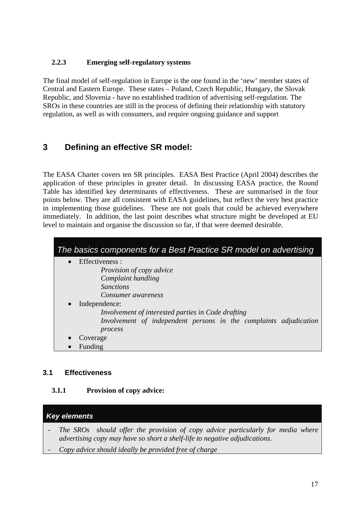## **2.2.3 Emerging self-regulatory systems**

The final model of self-regulation in Europe is the one found in the 'new' member states of Central and Eastern Europe. These states – Poland, Czech Republic, Hungary, the Slovak Republic, and Slovenia - have no established tradition of advertising self-regulation. The SROs in these countries are still in the process of defining their relationship with statutory regulation, as well as with consumers, and require ongoing guidance and support

## **3 Defining an effective SR model:**

The EASA Charter covers ten SR principles. EASA Best Practice (April 2004) describes the application of these principles in greater detail. In discussing EASA practice, the Round Table has identified key determinants of effectiveness. These are summarised in the four points below. They are all consistent with EASA guidelines, but reflect the very best practice in implementing those guidelines. These are not goals that could be achieved everywhere immediately. In addition, the last point describes what structure might be developed at EU level to maintain and organise the discussion so far, if that were deemed desirable.

| The basics components for a Best Practice SR model on advertising |
|-------------------------------------------------------------------|
| Effectiveness :                                                   |
| <i>Provision of copy advice</i>                                   |
| Complaint handling                                                |
| <i>Sanctions</i>                                                  |
| Consumer awareness                                                |
| Independence:                                                     |
| Involvement of interested parties in Code drafting                |
| Involvement of independent persons in the complaints adjudication |
| process                                                           |
| Coverage                                                          |
| Funding                                                           |

## **3.1 Effectiveness**

## **3.1.1 Provision of copy advice:**

## *Key elements*

- *- The SROs should offer the provision of copy advice particularly for media where advertising copy may have so short a shelf-life to negative adjudications.*
- *- Copy advice should ideally be provided free of charge*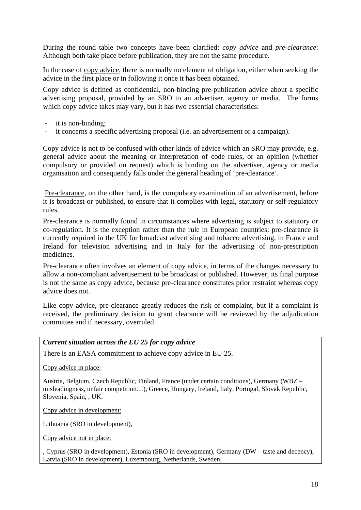During the round table two concepts have been clarified: *copy advice* and *pre-clearance*: Although both take place before publication, they are not the same procedure.

In the case of copy advice, there is normally no element of obligation, either when seeking the advice in the first place or in following it once it has been obtained.

Copy advice is defined as confidential, non-binding pre-publication advice about a specific advertising proposal, provided by an SRO to an advertiser, agency or media. The forms which copy advice takes may vary, but it has two essential characteristics:

- it is non-binding;
- it concerns a specific advertising proposal (i.e. an advertisement or a campaign).

Copy advice is not to be confused with other kinds of advice which an SRO may provide, e.g. general advice about the meaning or interpretation of code rules, or an opinion (whether compulsory or provided on request) which is binding on the advertiser, agency or media organisation and consequently falls under the general heading of 'pre-clearance'.

 Pre-clearance, on the other hand, is the compulsory examination of an advertisement, before it is broadcast or published, to ensure that it complies with legal, statutory or self-regulatory rules.

Pre-clearance is normally found in circumstances where advertising is subject to statutory or co-regulation. It is the exception rather than the rule in European countries: pre-clearance is currently required in the UK for broadcast advertising and tobacco advertising, in France and Ireland for television advertising and in Italy for the advertising of non-prescription medicines.

Pre-clearance often involves an element of copy advice, in terms of the changes necessary to allow a non-compliant advertisement to be broadcast or published. However, its final purpose is not the same as copy advice, because pre-clearance constitutes prior restraint whereas copy advice does not.

Like copy advice, pre-clearance greatly reduces the risk of complaint, but if a complaint is received, the preliminary decision to grant clearance will be reviewed by the adjudication committee and if necessary, overruled.

#### *Current situation across the EU 25 for copy advice*

There is an EASA commitment to achieve copy advice in EU 25.

Copy advice in place:

Austria, Belgium, Czech Republic, Finland, France (under certain conditions), Germany (WBZ – misleadingness, unfair competition…), Greece, Hungary, Ireland, Italy, Portugal, Slovak Republic, Slovenia, Spain, , UK.

Copy advice in development:

Lithuania (SRO in development),

Copy advice not in place:

, Cyprus (SRO in development), Estonia (SRO in development), Germany (DW – taste and decency), Latvia (SRO in development), Luxembourg, Netherlands, Sweden,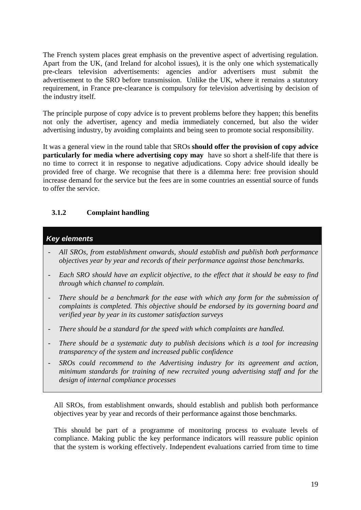The French system places great emphasis on the preventive aspect of advertising regulation. Apart from the UK, (and Ireland for alcohol issues), it is the only one which systematically pre-clears television advertisements: agencies and/or advertisers must submit the advertisement to the SRO before transmission. Unlike the UK, where it remains a statutory requirement, in France pre-clearance is compulsory for television advertising by decision of the industry itself.

The principle purpose of copy advice is to prevent problems before they happen; this benefits not only the advertiser, agency and media immediately concerned, but also the wider advertising industry, by avoiding complaints and being seen to promote social responsibility.

It was a general view in the round table that SROs **should offer the provision of copy advice particularly for media where advertising copy may** have so short a shelf-life that there is no time to correct it in response to negative adjudications. Copy advice should ideally be provided free of charge. We recognise that there is a dilemma here: free provision should increase demand for the service but the fees are in some countries an essential source of funds to offer the service.

## **3.1.2 Complaint handling**

## *Key elements*

- *- All SROs, from establishment onwards, should establish and publish both performance objectives year by year and records of their performance against those benchmarks.*
- *- Each SRO should have an explicit objective, to the effect that it should be easy to find through which channel to complain.*
- *There should be a benchmark for the ease with which any form for the submission of complaints is completed. This objective should be endorsed by its governing board and verified year by year in its customer satisfaction surveys*
- *- There should be a standard for the speed with which complaints are handled.*
- *- There should be a systematic duty to publish decisions which is a tool for increasing transparency of the system and increased public confidence*
- *- SROs could recommend to the Advertising industry for its agreement and action, minimum standards for training of new recruited young advertising staff and for the design of internal compliance processes*

All SROs, from establishment onwards, should establish and publish both performance objectives year by year and records of their performance against those benchmarks.

This should be part of a programme of monitoring process to evaluate levels of compliance. Making public the key performance indicators will reassure public opinion that the system is working effectively. Independent evaluations carried from time to time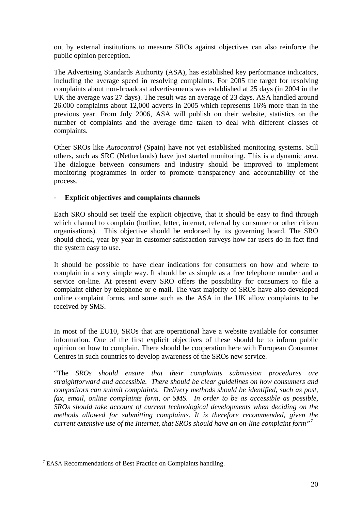out by external institutions to measure SROs against objectives can also reinforce the public opinion perception.

The Advertising Standards Authority (ASA), has established key performance indicators, including the average speed in resolving complaints. For 2005 the target for resolving complaints about non-broadcast advertisements was established at 25 days (in 2004 in the UK the average was 27 days). The result was an average of 23 days. ASA handled around 26.000 complaints about 12,000 adverts in 2005 which represents 16% more than in the previous year. From July 2006, ASA will publish on their website, statistics on the number of complaints and the average time taken to deal with different classes of complaints.

Other SROs like *Autocontrol* (Spain) have not yet established monitoring systems. Still others, such as SRC (Netherlands) have just started monitoring. This is a dynamic area. The dialogue between consumers and industry should be improved to implement monitoring programmes in order to promote transparency and accountability of the process.

#### - **Explicit objectives and complaints channels**

Each SRO should set itself the explicit objective, that it should be easy to find through which channel to complain (hotline, letter, internet, referral by consumer or other citizen organisations). This objective should be endorsed by its governing board. The SRO should check, year by year in customer satisfaction surveys how far users do in fact find the system easy to use.

It should be possible to have clear indications for consumers on how and where to complain in a very simple way. It should be as simple as a free telephone number and a service on-line. At present every SRO offers the possibility for consumers to file a complaint either by telephone or e-mail. The vast majority of SROs have also developed online complaint forms, and some such as the ASA in the UK allow complaints to be received by SMS.

In most of the EU10, SROs that are operational have a website available for consumer information. One of the first explicit objectives of these should be to inform public opinion on how to complain. There should be cooperation here with European Consumer Centres in such countries to develop awareness of the SROs new service.

"The *SROs should ensure that their complaints submission procedures are straightforward and accessible. There should be clear guidelines on how consumers and competitors can submit complaints. Delivery methods should be identified, such as post, fax, email, online complaints form, or SMS. In order to be as accessible as possible, SROs should take account of current technological developments when deciding on the methods allowed for submitting complaints. It is therefore recommended, given the current extensive use of the Internet, that SROs should have an on-line complaint form"[7](#page-19-0)*

1

<span id="page-19-0"></span><sup>&</sup>lt;sup>7</sup> EASA Recommendations of Best Practice on Complaints handling.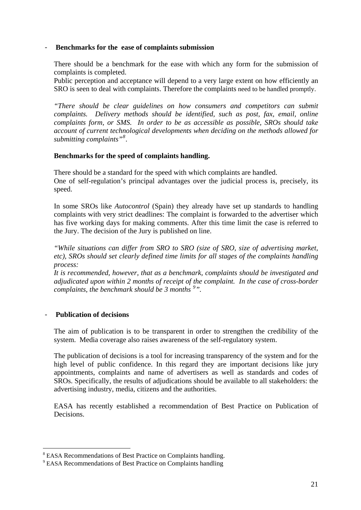#### - **Benchmarks for the ease of complaints submission**

There should be a benchmark for the ease with which any form for the submission of complaints is completed.

Public perception and acceptance will depend to a very large extent on how efficiently an SRO is seen to deal with complaints. Therefore the complaints need to be handled promptly.

*"There should be clear guidelines on how consumers and competitors can submit complaints. Delivery methods should be identified, such as post, fax, email, online complaints form, or SMS. In order to be as accessible as possible, SROs should take account of current technological developments when deciding on the methods allowed for submitting complaints"[8](#page-20-0)* .

#### **Benchmarks for the speed of complaints handling.**

There should be a standard for the speed with which complaints are handled. One of self-regulation's principal advantages over the judicial process is, precisely, its speed.

In some SROs like *Autocontrol* (Spain) they already have set up standards to handling complaints with very strict deadlines: The complaint is forwarded to the advertiser which has five working days for making comments. After this time limit the case is referred to the Jury. The decision of the Jury is published on line.

*"While situations can differ from SRO to SRO (size of SRO, size of advertising market, etc), SROs should set clearly defined time limits for all stages of the complaints handling process:* 

*It is recommended, however, that as a benchmark, complaints should be investigated and adjudicated upon within 2 months of receipt of the complaint. In the case of cross-border complaints, the benchmark should be 3 months [9](#page-20-1) ".*

#### - **Publication of decisions**

<u>.</u>

The aim of publication is to be transparent in order to strengthen the credibility of the system. Media coverage also raises awareness of the self-regulatory system.

The publication of decisions is a tool for increasing transparency of the system and for the high level of public confidence. In this regard they are important decisions like jury appointments, complaints and name of advertisers as well as standards and codes of SROs. Specifically, the results of adjudications should be available to all stakeholders: the advertising industry, media, citizens and the authorities.

EASA has recently established a recommendation of Best Practice on Publication of Decisions.

<span id="page-20-0"></span><sup>&</sup>lt;sup>8</sup> EASA Recommendations of Best Practice on Complaints handling.

<span id="page-20-1"></span><sup>&</sup>lt;sup>9</sup> EASA Recommendations of Best Practice on Complaints handling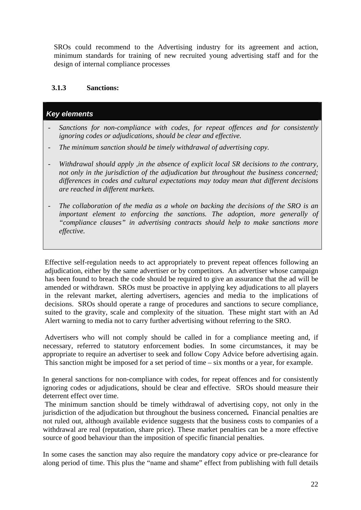SROs could recommend to the Advertising industry for its agreement and action, minimum standards for training of new recruited young advertising staff and for the design of internal compliance processes

#### **3.1.3 Sanctions:**

### *Key elements*

- Sanctions for non-compliance with codes, for repeat offences and for consistently *ignoring codes or adjudications, should be clear and effective.*
- *- The minimum sanction should be timely withdrawal of advertising copy.*
- *Withdrawal should apply ,in the absence of explicit local SR decisions to the contrary, not only in the jurisdiction of the adjudication but throughout the business concerned; differences in codes and cultural expectations may today mean that different decisions are reached in different markets.*
- *- The collaboration of the media as a whole on backing the decisions of the SRO is an important element to enforcing the sanctions. The adoption, more generally of "compliance clauses" in advertising contracts should help to make sanctions more effective.*

Effective self-regulation needs to act appropriately to prevent repeat offences following an adjudication, either by the same advertiser or by competitors. An advertiser whose campaign has been found to breach the code should be required to give an assurance that the ad will be amended or withdrawn. SROs must be proactive in applying key adjudications to all players in the relevant market, alerting advertisers, agencies and media to the implications of decisions. SROs should operate a range of procedures and sanctions to secure compliance, suited to the gravity, scale and complexity of the situation. These might start with an Ad Alert warning to media not to carry further advertising without referring to the SRO.

 Advertisers who will not comply should be called in for a compliance meeting and, if necessary, referred to statutory enforcement bodies. In some circumstances, it may be appropriate to require an advertiser to seek and follow Copy Advice before advertising again. This sanction might be imposed for a set period of time – six months or a year, for example.

In general sanctions for non-compliance with codes, for repeat offences and for consistently ignoring codes or adjudications, should be clear and effective. SROs should measure their deterrent effect over time.

 The minimum sanction should be timely withdrawal of advertising copy, not only in the jurisdiction of the adjudication but throughout the business concerned**.** Financial penalties are not ruled out, although available evidence suggests that the business costs to companies of a withdrawal are real (reputation, share price). These market penalties can be a more effective source of good behaviour than the imposition of specific financial penalties.

In some cases the sanction may also require the mandatory copy advice or pre-clearance for along period of time. This plus the "name and shame" effect from publishing with full details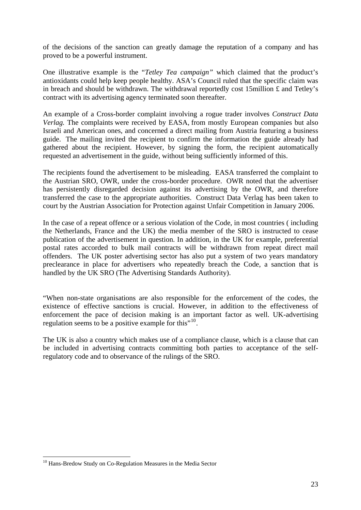of the decisions of the sanction can greatly damage the reputation of a company and has proved to be a powerful instrument.

One illustrative example is the "*Tetley Tea campaign"* which claimed that the product's antioxidants could help keep people healthy. ASA's Council ruled that the specific claim was in breach and should be withdrawn. The withdrawal reportedly cost 15million £ and Tetley's contract with its advertising agency terminated soon thereafter.

An example of a Cross-border complaint involving a rogue trader involves *Construct Data Verlag.* The complaints were received by EASA, from mostly European companies but also Israeli and American ones, and concerned a direct mailing from Austria featuring a business guide. The mailing invited the recipient to confirm the information the guide already had gathered about the recipient. However, by signing the form, the recipient automatically requested an advertisement in the guide, without being sufficiently informed of this.

The recipients found the advertisement to be misleading. EASA transferred the complaint to the Austrian SRO, OWR, under the cross-border procedure. OWR noted that the advertiser has persistently disregarded decision against its advertising by the OWR, and therefore transferred the case to the appropriate authorities. Construct Data Verlag has been taken to court by the Austrian Association for Protection against Unfair Competition in January 2006.

In the case of a repeat offence or a serious violation of the Code, in most countries ( including the Netherlands, France and the UK) the media member of the SRO is instructed to cease publication of the advertisement in question. In addition, in the UK for example, preferential postal rates accorded to bulk mail contracts will be withdrawn from repeat direct mail offenders. The UK poster advertising sector has also put a system of two years mandatory preclearance in place for advertisers who repeatedly breach the Code, a sanction that is handled by the UK SRO (The Advertising Standards Authority).

"When non-state organisations are also responsible for the enforcement of the codes, the existence of effective sanctions is crucial. However, in addition to the effectiveness of enforcement the pace of decision making is an important factor as well. UK-advertising regulation seems to be a positive example for this"<sup>[10](#page-22-0)</sup>.

The UK is also a country which makes use of a compliance clause, which is a clause that can be included in advertising contracts committing both parties to acceptance of the selfregulatory code and to observance of the rulings of the SRO.

1

<span id="page-22-0"></span><sup>&</sup>lt;sup>10</sup> Hans-Bredow Study on Co-Regulation Measures in the Media Sector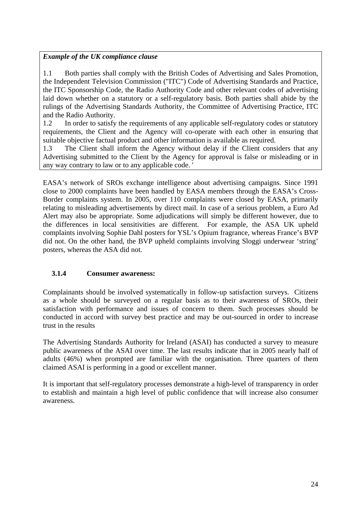#### *Example of the UK compliance clause*

1.1 Both parties shall comply with the British Codes of Advertising and Sales Promotion, the Independent Television Commission ("ITC") Code of Advertising Standards and Practice, the ITC Sponsorship Code, the Radio Authority Code and other relevant codes of advertising laid down whether on a statutory or a self-regulatory basis. Both parties shall abide by the rulings of the Advertising Standards Authority, the Committee of Advertising Practice, ITC and the Radio Authority.

1.2 In order to satisfy the requirements of any applicable self-regulatory codes or statutory requirements, the Client and the Agency will co-operate with each other in ensuring that suitable objective factual product and other information is available as required.

1.3 The Client shall inform the Agency without delay if the Client considers that any Advertising submitted to the Client by the Agency for approval is false or misleading or in any way contrary to law or to any applicable code. '

EASA's network of SROs exchange intelligence about advertising campaigns. Since 1991 close to 2000 complaints have been handled by EASA members through the EASA's Cross-Border complaints system. In 2005, over 110 complaints were closed by EASA, primarily relating to misleading advertisements by direct mail. In case of a serious problem, a Euro Ad Alert may also be appropriate. Some adjudications will simply be different however, due to the differences in local sensitivities are different. For example, the ASA UK upheld complaints involving Sophie Dahl posters for YSL's Opium fragrance, whereas France's BVP did not. On the other hand, the BVP upheld complaints involving Sloggi underwear 'string' posters, whereas the ASA did not.

## **3.1.4 Consumer awareness:**

Complainants should be involved systematically in follow-up satisfaction surveys. Citizens as a whole should be surveyed on a regular basis as to their awareness of SROs, their satisfaction with performance and issues of concern to them. Such processes should be conducted in accord with survey best practice and may be out-sourced in order to increase trust in the results

The Advertising Standards Authority for Ireland (ASAI) has conducted a survey to measure public awareness of the ASAI over time. The last results indicate that in 2005 nearly half of adults (46%) when prompted are familiar with the organisation. Three quarters of them claimed ASAI is performing in a good or excellent manner.

It is important that self-regulatory processes demonstrate a high-level of transparency in order to establish and maintain a high level of public confidence that will increase also consumer awareness.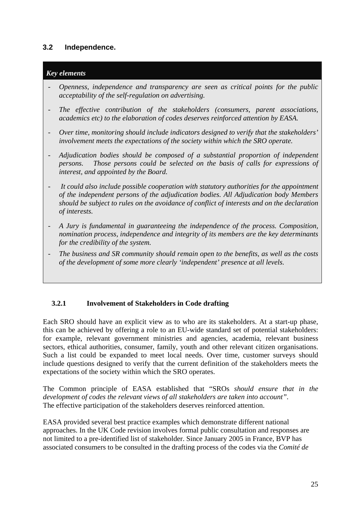## **3.2 Independence.**

#### *Key elements*

- *- Openness, independence and transparency are seen as critical points for the public acceptability of the self-regulation on advertising.*
- *The effective contribution of the stakeholders (consumers, parent associations, academics etc) to the elaboration of codes deserves reinforced attention by EASA.*
- *- Over time, monitoring should include indicators designed to verify that the stakeholders' involvement meets the expectations of the society within which the SRO operate.*
- *- Adjudication bodies should be composed of a substantial proportion of independent persons. Those persons could be selected on the basis of calls for expressions of interest, and appointed by the Board.*
- *It could also include possible cooperation with statutory authorities for the appointment of the independent persons of the adjudication bodies. All Adjudication body Members should be subject to rules on the avoidance of conflict of interests and on the declaration of interests.*
- *- A Jury is fundamental in guaranteeing the independence of the process. Composition, nomination process, independence and integrity of its members are the key determinants for the credibility of the system.*
- *- The business and SR community should remain open to the benefits, as well as the costs of the development of some more clearly 'independent' presence at all levels.*

#### **3.2.1 Involvement of Stakeholders in Code drafting**

Each SRO should have an explicit view as to who are its stakeholders. At a start-up phase, this can be achieved by offering a role to an EU-wide standard set of potential stakeholders: for example, relevant government ministries and agencies, academia, relevant business sectors, ethical authorities, consumer, family, youth and other relevant citizen organisations. Such a list could be expanded to meet local needs. Over time, customer surveys should include questions designed to verify that the current definition of the stakeholders meets the expectations of the society within which the SRO operates.

The Common principle of EASA established that "SROs *should ensure that in the development of codes the relevant views of all stakeholders are taken into account".*  The effective participation of the stakeholders deserves reinforced attention.

EASA provided several best practice examples which demonstrate different national approaches. In the UK Code revision involves formal public consultation and responses are not limited to a pre-identified list of stakeholder. Since January 2005 in France, BVP has associated consumers to be consulted in the drafting process of the codes via the *Comité de*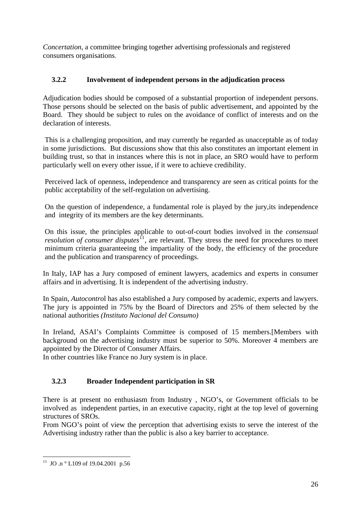*Concertation*, a committee bringing together advertising professionals and registered consumers organisations.

## **3.2.2 Involvement of independent persons in the adjudication process**

Adjudication bodies should be composed of a substantial proportion of independent persons. Those persons should be selected on the basis of public advertisement, and appointed by the Board. They should be subject to rules on the avoidance of conflict of interests and on the declaration of interests.

This is a challenging proposition, and may currently be regarded as unacceptable as of today in some jurisdictions. But discussions show that this also constitutes an important element in building trust, so that in instances where this is not in place, an SRO would have to perform particularly well on every other issue, if it were to achieve credibility.

Perceived lack of openness, independence and transparency are seen as critical points for the public acceptability of the self-regulation on advertising.

On the question of independence, a fundamental role is played by the jury,its independence and integrity of its members are the key determinants.

On this issue, the principles applicable to out-of-court bodies involved in the *consensual resolution of consumer disputes*<sup> $\overline{11}$  $\overline{11}$  $\overline{11}$ </sup>, are relevant. They stress the need for procedures to meet minimum criteria guaranteeing the impartiality of the body, the efficiency of the procedure and the publication and transparency of proceedings.

In Italy, IAP has a Jury composed of eminent lawyers, academics and experts in consumer affairs and in advertising. It is independent of the advertising industry.

In Spain, *Autocontro*l has also established a Jury composed by academic, experts and lawyers. The jury is appointed in 75% by the Board of Directors and 25% of them selected by the national authorities *(Instituto Nacional del Consumo)* 

In Ireland, ASAI's Complaints Committee is composed of 15 members.[Members with background on the advertising industry must be superior to 50%. Moreover 4 members are appointed by the Director of Consumer Affairs.

In other countries like France no Jury system is in place.

## **3.2.3 Broader Independent participation in SR**

There is at present no enthusiasm from Industry , NGO's, or Government officials to be involved as independent parties, in an executive capacity, right at the top level of governing structures of SROs.

From NGO's point of view the perception that advertising exists to serve the interest of the Advertising industry rather than the public is also a key barrier to acceptance.

<span id="page-25-0"></span><sup>1</sup> <sup>11</sup> JO .n  $\degree$  L109 of 19.04.2001 p.56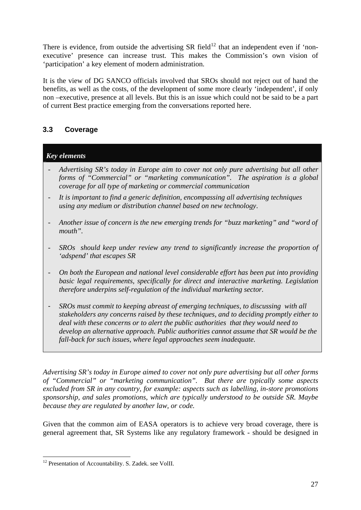There is evidence, from outside the advertising SR field<sup>[12](#page-26-0)</sup> that an independent even if 'nonexecutive' presence can increase trust. This makes the Commission's own vision of 'participation' a key element of modern administration.

It is the view of DG SANCO officials involved that SROs should not reject out of hand the benefits, as well as the costs, of the development of some more clearly 'independent', if only non –executive, presence at all levels. But this is an issue which could not be said to be a part of current Best practice emerging from the conversations reported here.

## **3.3 Coverage**

#### *Key elements*

- *- Advertising SR's today in Europe aim to cover not only pure advertising but all other forms of "Commercial" or "marketing communication". The aspiration is a global coverage for all type of marketing or commercial communication*
- *It is important to find a generic definition, encompassing all advertising techniques using any medium or distribution channel based on new technology*.
- *- Another issue of concern is the new emerging trends for "buzz marketing" and "word of mouth".*
- *- SROs should keep under review any trend to significantly increase the proportion of 'adspend' that escapes SR*
- *On both the European and national level considerable effort has been put into providing basic legal requirements, specifically for direct and interactive marketing. Legislation therefore underpins self-regulation of the individual marketing sector.*
- *SROs must commit to keeping abreast of emerging techniques, to discussing with all stakeholders any concerns raised by these techniques, and to deciding promptly either to deal with these concerns or to alert the public authorities that they would need to develop an alternative approach. Public authorities cannot assume that SR would be the fall-back for such issues, where legal approaches seem inadequate.*

*Advertising SR's today in Europe aimed to cover not only pure advertising but all other forms of "Commercial" or "marketing communication". But there are typically some aspects excluded from SR in any country, for example: aspects such as labelling, in-store promotions sponsorship, and sales promotions, which are typically understood to be outside SR. Maybe because they are regulated by another law, or code.* 

Given that the common aim of EASA operators is to achieve very broad coverage, there is general agreement that, SR Systems like any regulatory framework - should be designed in

1

<span id="page-26-0"></span><sup>&</sup>lt;sup>12</sup> Presentation of Accountability. S. Zadek. see VolII.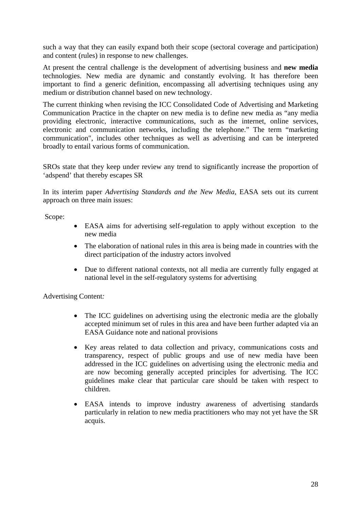such a way that they can easily expand both their scope (sectoral coverage and participation) and content (rules) in response to new challenges.

At present the central challenge is the development of advertising business and **new media** technologies. New media are dynamic and constantly evolving. It has therefore been important to find a generic definition, encompassing all advertising techniques using any medium or distribution channel based on new technology.

The current thinking when revising the ICC Consolidated Code of Advertising and Marketing Communication Practice in the chapter on new media is to define new media as "any media providing electronic, interactive communications, such as the internet, online services, electronic and communication networks, including the telephone." The term "marketing communication", includes other techniques as well as advertising and can be interpreted broadly to entail various forms of communication.

SROs state that they keep under review any trend to significantly increase the proportion of 'adspend' that thereby escapes SR

In its interim paper *Advertising Standards and the New Media,* EASA sets out its current approach on three main issues:

Scope:

- EASA aims for advertising self-regulation to apply without exception to the new media
- The elaboration of national rules in this area is being made in countries with the direct participation of the industry actors involved
- Due to different national contexts, not all media are currently fully engaged at national level in the self-regulatory systems for advertising

Advertising Content*:* 

- The ICC guidelines on advertising using the electronic media are the globally accepted minimum set of rules in this area and have been further adapted via an EASA Guidance note and national provisions
- Key areas related to data collection and privacy, communications costs and transparency, respect of public groups and use of new media have been addressed in the ICC guidelines on advertising using the electronic media and are now becoming generally accepted principles for advertising. The ICC guidelines make clear that particular care should be taken with respect to children.
- EASA intends to improve industry awareness of advertising standards particularly in relation to new media practitioners who may not yet have the SR acquis.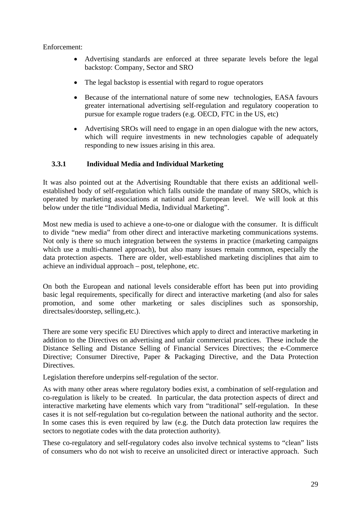Enforcement:

- Advertising standards are enforced at three separate levels before the legal backstop: Company, Sector and SRO
- The legal backstop is essential with regard to rogue operators
- Because of the international nature of some new technologies, EASA favours greater international advertising self-regulation and regulatory cooperation to pursue for example rogue traders (e.g. OECD, FTC in the US, etc)
- Advertising SROs will need to engage in an open dialogue with the new actors, which will require investments in new technologies capable of adequately responding to new issues arising in this area.

#### **3.3.1 Individual Media and Individual Marketing**

It was also pointed out at the Advertising Roundtable that there exists an additional wellestablished body of self-regulation which falls outside the mandate of many SROs, which is operated by marketing associations at national and European level. We will look at this below under the title "Individual Media, Individual Marketing".

Most new media is used to achieve a one-to-one or dialogue with the consumer. It is difficult to divide "new media" from other direct and interactive marketing communications systems. Not only is there so much integration between the systems in practice (marketing campaigns which use a multi-channel approach), but also many issues remain common, especially the data protection aspects. There are older, well-established marketing disciplines that aim to achieve an individual approach – post, telephone, etc.

On both the European and national levels considerable effort has been put into providing basic legal requirements, specifically for direct and interactive marketing (and also for sales promotion, and some other marketing or sales disciplines such as sponsorship, directsales/doorstep, selling,etc.).

There are some very specific EU Directives which apply to direct and interactive marketing in addition to the Directives on advertising and unfair commercial practices. These include the Distance Selling and Distance Selling of Financial Services Directives; the e-Commerce Directive; Consumer Directive, Paper & Packaging Directive, and the Data Protection Directives.

Legislation therefore underpins self-regulation of the sector.

As with many other areas where regulatory bodies exist, a combination of self-regulation and co-regulation is likely to be created. In particular, the data protection aspects of direct and interactive marketing have elements which vary from "traditional" self-regulation. In these cases it is not self-regulation but co-regulation between the national authority and the sector. In some cases this is even required by law (e.g. the Dutch data protection law requires the sectors to negotiate codes with the data protection authority).

These co-regulatory and self-regulatory codes also involve technical systems to "clean" lists of consumers who do not wish to receive an unsolicited direct or interactive approach. Such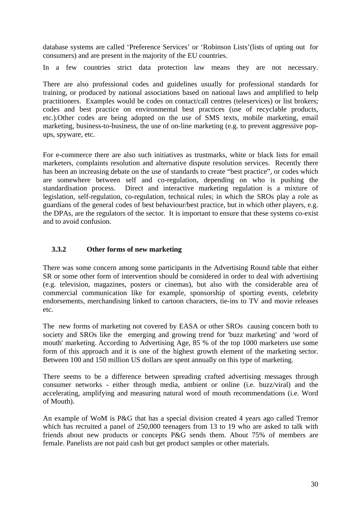database systems are called 'Preference Services' or 'Robinson Lists'(lists of opting out for consumers) and are present in the majority of the EU countries.

In a few countries strict data protection law means they are not necessary.

There are also professional codes and guidelines usually for professional standards for training, or produced by national associations based on national laws and amplified to help practitioners. Examples would be codes on contact/call centres (teleservices) or list brokers; codes and best practice on environmental best practices (use of recyclable products, etc.).Other codes are being adopted on the use of SMS texts, mobile marketing, email marketing, business-to-business, the use of on-line marketing (e.g. to prevent aggressive popups, spyware, etc.

For e-commerce there are also such initiatives as trustmarks, white or black lists for email marketers, complaints resolution and alternative dispute resolution services. Recently there has been an increasing debate on the use of standards to create "best practice", or codes which are somewhere between self and co-regulation, depending on who is pushing the standardisation process. Direct and interactive marketing regulation is a mixture of legislation, self-regulation, co-regulation, technical rules; in which the SROs play a role as guardians of the general codes of best behaviour/best practice, but in which other players, e.g. the DPAs, are the regulators of the sector. It is important to ensure that these systems co-exist and to avoid confusion.

#### **3.3.2 Other forms of new marketing**

There was some concern among some participants in the Advertising Round table that either SR or some other form of intervention should be considered in order to deal with advertising (e.g. television, magazines, posters or cinemas), but also with the considerable area of commercial communication like for example, sponsorship of sporting events, celebrity endorsements, merchandising linked to cartoon characters, tie-ins to TV and movie releases etc.

The new forms of marketing not covered by EASA or other SROs causing concern both to society and SROs like the emerging and growing trend for 'buzz marketing' and 'word of mouth' marketing. According to Advertising Age, 85 % of the top 1000 marketers use some form of this approach and it is one of the highest growth element of the marketing sector. Between 100 and 150 million US dollars are spent annually on this type of marketing.

There seems to be a difference between spreading crafted advertising messages through consumer networks - either through media, ambient or online (i.e. buzz/viral) and the accelerating, amplifying and measuring natural word of mouth recommendations (i.e. Word of Mouth).

An example of WoM is P&G that has a special division created 4 years ago called Tremor which has recruited a panel of 250,000 teenagers from 13 to 19 who are asked to talk with friends about new products or concepts P&G sends them. About 75% of members are female. Panelists are not paid cash but get product samples or other materials.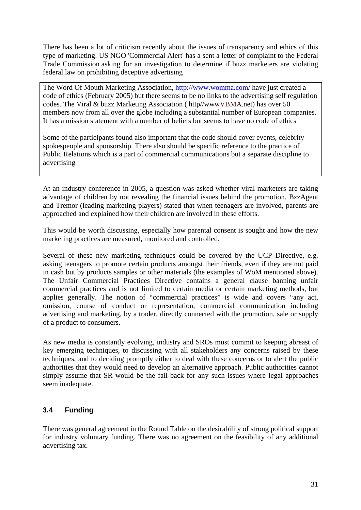There has been a lot of criticism recently about the issues of transparency and ethics of this type of marketing. US NGO 'Commercial Alert' has a sent a letter of complaint to the Federal Trade Commission asking for an investigation to determine if buzz marketers are violating federal law on prohibiting deceptive advertising

The Word Of Mouth Marketing Association, [http://www.womma.com](http://www.womma.com/)/ have just created a code of ethics (February 2005) but there seems to be no links to the advertising self regulation codes. The Viral & buzz Marketing Association ( http//ww[wVBMA](http://www.vbma.net/).net) has over 50 members now from all over the globe including a substantial number of European companies. It has a mission statement with a number of beliefs but seems to have no code of ethics

Some of the participants found also important that the code should cover events, celebrity spokespeople and sponsorship. There also should be specific reference to the practice of Public Relations which is a part of commercial communications but a separate discipline to advertising

At an industry conference in 2005, a question was asked whether viral marketers are taking advantage of children by not revealing the financial issues behind the promotion. BzzAgent and Tremor (leading marketing players) stated that when teenagers are involved, parents are approached and explained how their children are involved in these efforts.

This would be worth discussing, especially how parental consent is sought and how the new marketing practices are measured, monitored and controlled.

Several of these new marketing techniques could be covered by the UCP Directive, e.g. asking teenagers to promote certain products amongst their friends, even if they are not paid in cash but by products samples or other materials (the examples of WoM mentioned above). The Unfair Commercial Practices Directive contains a general clause banning unfair commercial practices and is not limited to certain media or certain marketing methods, but applies generally. The notion of "commercial practices" is wide and covers "any act, omission, course of conduct or representation, commercial communication including advertising and marketing, by a trader, directly connected with the promotion, sale or supply of a product to consumers.

As new media is constantly evolving, industry and SROs must commit to keeping abreast of key emerging techniques, to discussing with all stakeholders any concerns raised by these techniques, and to deciding promptly either to deal with these concerns or to alert the public authorities that they would need to develop an alternative approach. Public authorities cannot simply assume that SR would be the fall-back for any such issues where legal approaches seem inadequate.

## **3.4 Funding**

There was general agreement in the Round Table on the desirability of strong political support for industry voluntary funding. There was no agreement on the feasibility of any additional advertising tax.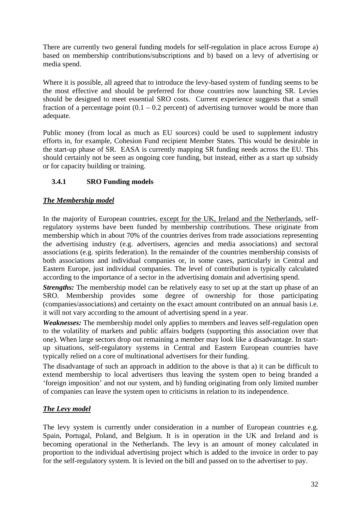There are currently two general funding models for self-regulation in place across Europe a) based on membership contributions/subscriptions and b) based on a levy of advertising or media spend.

Where it is possible, all agreed that to introduce the levy-based system of funding seems to be the most effective and should be preferred for those countries now launching SR. Levies should be designed to meet essential SRO costs. Current experience suggests that a small fraction of a percentage point  $(0.1 - 0.2$  percent) of advertising turnover would be more than adequate.

Public money (from local as much as EU sources) could be used to supplement industry efforts in, for example, Cohesion Fund recipient Member States. This would be desirable in the start-up phase of SR. EASA is currently mapping SR funding needs across the EU. This should certainly not be seen as ongoing core funding, but instead, either as a start up subsidy or for capacity building or training.

## **3.4.1 SRO Funding models**

## *The Membership model*

In the majority of European countries, except for the UK, Ireland and the Netherlands, selfregulatory systems have been funded by membership contributions. These originate from membership which in about 70% of the countries derives from trade associations representing the advertising industry (e.g. advertisers, agencies and media associations) and sectoral associations (e.g. spirits federation). In the remainder of the countries membership consists of both associations and individual companies or, in some cases, particularly in Central and Eastern Europe, just individual companies. The level of contribution is typically calculated according to the importance of a sector in the advertising domain and advertising spend.

*Strengths:* The membership model can be relatively easy to set up at the start up phase of an SRO. Membership provides some degree of ownership for those participating (companies/associations) and certainty on the exact amount contributed on an annual basis i.e. it will not vary according to the amount of advertising spend in a year.

*Weaknesses:* The membership model only applies to members and leaves self-regulation open to the volatility of markets and public affairs budgets (supporting this association over that one). When large sectors drop out remaining a member may look like a disadvantage. In startup situations, self-regulatory systems in Central and Eastern European countries have typically relied on a core of multinational advertisers for their funding.

The disadvantage of such an approach in addition to the above is that a) it can be difficult to extend membership to local advertisers thus leaving the system open to being branded a 'foreign imposition' and not our system, and b) funding originating from only limited number of companies can leave the system open to criticisms in relation to its independence.

## *The Levy model*

The levy system is currently under consideration in a number of European countries e.g. Spain, Portugal, Poland, and Belgium. It is in operation in the UK and Ireland and is becoming operational in the Netherlands. The levy is an amount of money calculated in proportion to the individual advertising project which is added to the invoice in order to pay for the self-regulatory system. It is levied on the bill and passed on to the advertiser to pay.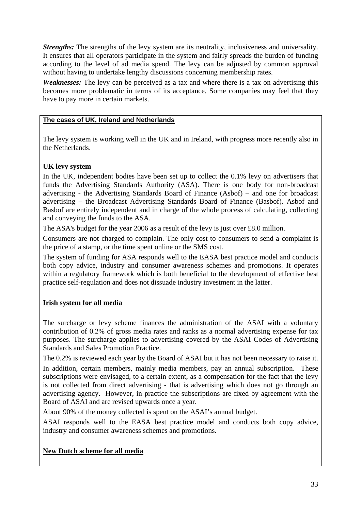*Strengths:* The strengths of the levy system are its neutrality, inclusiveness and universality. It ensures that all operators participate in the system and fairly spreads the burden of funding according to the level of ad media spend. The levy can be adjusted by common approval without having to undertake lengthy discussions concerning membership rates.

*Weaknesses:* The levy can be perceived as a tax and where there is a tax on advertising this becomes more problematic in terms of its acceptance. Some companies may feel that they have to pay more in certain markets.

#### **The cases of UK, Ireland and Netherlands**

The levy system is working well in the UK and in Ireland, with progress more recently also in the Netherlands.

#### **UK levy system**

In the UK, independent bodies have been set up to collect the 0.1% levy on advertisers that funds the Advertising Standards Authority (ASA). There is one body for non-broadcast advertising - the Advertising Standards Board of Finance (Asbof) – and one for broadcast advertising – the Broadcast Advertising Standards Board of Finance (Basbof). Asbof and Basbof are entirely independent and in charge of the whole process of calculating, collecting and conveying the funds to the ASA.

The ASA's budget for the year 2006 as a result of the levy is just over £8.0 million.

Consumers are not charged to complain. The only cost to consumers to send a complaint is the price of a stamp, or the time spent online or the SMS cost.

The system of funding for ASA responds well to the EASA best practice model and conducts both copy advice, industry and consumer awareness schemes and promotions. It operates within a regulatory framework which is both beneficial to the development of effective best practice self-regulation and does not dissuade industry investment in the latter.

## **Irish system for all media**

The surcharge or levy scheme finances the administration of the ASAI with a voluntary contribution of 0.2% of gross media rates and ranks as a normal advertising expense for tax purposes. The surcharge applies to advertising covered by the ASAI Codes of Advertising Standards and Sales Promotion Practice.

The 0.2% is reviewed each year by the Board of ASAI but it has not been necessary to raise it.

In addition, certain members, mainly media members, pay an annual subscription. These subscriptions were envisaged, to a certain extent, as a compensation for the fact that the levy is not collected from direct advertising - that is advertising which does not go through an advertising agency. However, in practice the subscriptions are fixed by agreement with the Board of ASAI and are revised upwards once a year.

About 90% of the money collected is spent on the ASAI's annual budget.

ASAI responds well to the EASA best practice model and conducts both copy advice, industry and consumer awareness schemes and promotions.

## **New Dutch scheme for all media**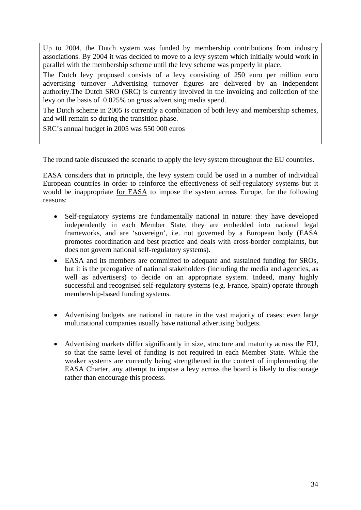Up to 2004, the Dutch system was funded by membership contributions from industry associations. By 2004 it was decided to move to a levy system which initially would work in parallel with the membership scheme until the levy scheme was properly in place.

The Dutch levy proposed consists of a levy consisting of 250 euro per million euro advertising turnover .Advertising turnover figures are delivered by an independent authority.The Dutch SRO (SRC) is currently involved in the invoicing and collection of the levy on the basis of 0.025% on gross advertising media spend.

The Dutch scheme in 2005 is currently a combination of both levy and membership schemes, and will remain so during the transition phase.

SRC's annual budget in 2005 was 550 000 euros

The round table discussed the scenario to apply the levy system throughout the EU countries.

EASA considers that in principle, the levy system could be used in a number of individual European countries in order to reinforce the effectiveness of self-regulatory systems but it would be inappropriate for EASA to impose the system across Europe, for the following reasons:

- Self-regulatory systems are fundamentally national in nature: they have developed independently in each Member State, they are embedded into national legal frameworks, and are 'sovereign', i.e. not governed by a European body (EASA promotes coordination and best practice and deals with cross-border complaints, but does not govern national self-regulatory systems).
- EASA and its members are committed to adequate and sustained funding for SROs, but it is the prerogative of national stakeholders (including the media and agencies, as well as advertisers) to decide on an appropriate system. Indeed, many highly successful and recognised self-regulatory systems (e.g. France, Spain) operate through membership-based funding systems.
- Advertising budgets are national in nature in the vast majority of cases: even large multinational companies usually have national advertising budgets.
- Advertising markets differ significantly in size, structure and maturity across the EU, so that the same level of funding is not required in each Member State. While the weaker systems are currently being strengthened in the context of implementing the EASA Charter, any attempt to impose a levy across the board is likely to discourage rather than encourage this process.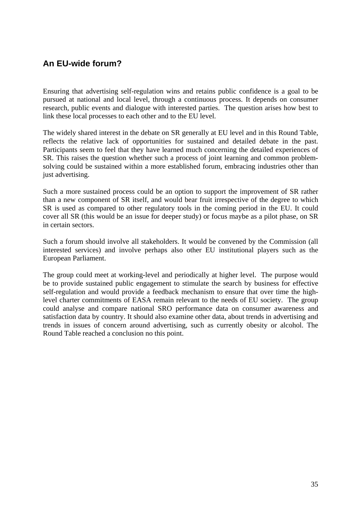## **An EU-wide forum?**

Ensuring that advertising self-regulation wins and retains public confidence is a goal to be pursued at national and local level, through a continuous process. It depends on consumer research, public events and dialogue with interested parties. The question arises how best to link these local processes to each other and to the EU level.

The widely shared interest in the debate on SR generally at EU level and in this Round Table, reflects the relative lack of opportunities for sustained and detailed debate in the past. Participants seem to feel that they have learned much concerning the detailed experiences of SR. This raises the question whether such a process of joint learning and common problemsolving could be sustained within a more established forum, embracing industries other than just advertising.

Such a more sustained process could be an option to support the improvement of SR rather than a new component of SR itself, and would bear fruit irrespective of the degree to which SR is used as compared to other regulatory tools in the coming period in the EU. It could cover all SR (this would be an issue for deeper study) or focus maybe as a pilot phase, on SR in certain sectors.

Such a forum should involve all stakeholders. It would be convened by the Commission (all interested services) and involve perhaps also other EU institutional players such as the European Parliament.

The group could meet at working-level and periodically at higher level. The purpose would be to provide sustained public engagement to stimulate the search by business for effective self-regulation and would provide a feedback mechanism to ensure that over time the highlevel charter commitments of EASA remain relevant to the needs of EU society. The group could analyse and compare national SRO performance data on consumer awareness and satisfaction data by country. It should also examine other data, about trends in advertising and trends in issues of concern around advertising, such as currently obesity or alcohol. The Round Table reached a conclusion no this point.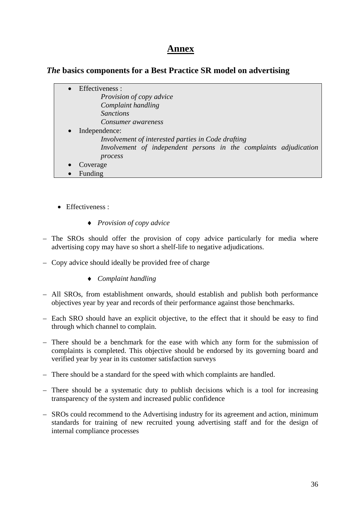## **Annex**

## *The* **basics components for a Best Practice SR model on advertising**

|           | Effectiveness :                                                   |
|-----------|-------------------------------------------------------------------|
|           | <i>Provision of copy advice</i>                                   |
|           | Complaint handling                                                |
|           | <i>Sanctions</i>                                                  |
|           | Consumer awareness                                                |
| $\bullet$ | Independence:                                                     |
|           | Involvement of interested parties in Code drafting                |
|           | Involvement of independent persons in the complaints adjudication |
|           | process                                                           |
|           | Coverage                                                          |
|           | Funding                                                           |

- Effectiveness :
	- ♦ *Provision of copy advice*
- The SROs should offer the provision of copy advice particularly for media where advertising copy may have so short a shelf-life to negative adjudications.
- Copy advice should ideally be provided free of charge
	- ♦ *Complaint handling*
- All SROs, from establishment onwards, should establish and publish both performance objectives year by year and records of their performance against those benchmarks.
- Each SRO should have an explicit objective, to the effect that it should be easy to find through which channel to complain.
- There should be a benchmark for the ease with which any form for the submission of complaints is completed. This objective should be endorsed by its governing board and verified year by year in its customer satisfaction surveys
- There should be a standard for the speed with which complaints are handled.
- There should be a systematic duty to publish decisions which is a tool for increasing transparency of the system and increased public confidence
- SROs could recommend to the Advertising industry for its agreement and action, minimum standards for training of new recruited young advertising staff and for the design of internal compliance processes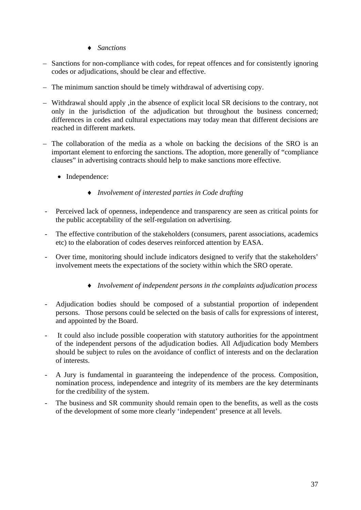- ♦ *Sanctions*
- Sanctions for non-compliance with codes, for repeat offences and for consistently ignoring codes or adjudications, should be clear and effective.
- The minimum sanction should be timely withdrawal of advertising copy.
- Withdrawal should apply ,in the absence of explicit local SR decisions to the contrary, not only in the jurisdiction of the adjudication but throughout the business concerned; differences in codes and cultural expectations may today mean that different decisions are reached in different markets.
- The collaboration of the media as a whole on backing the decisions of the SRO is an important element to enforcing the sanctions. The adoption, more generally of "compliance clauses" in advertising contracts should help to make sanctions more effective.
	- Independence:
		- ♦ *Involvement of interested parties in Code drafting*
- Perceived lack of openness, independence and transparency are seen as critical points for the public acceptability of the self-regulation on advertising.
- The effective contribution of the stakeholders (consumers, parent associations, academics etc) to the elaboration of codes deserves reinforced attention by EASA.
- Over time, monitoring should include indicators designed to verify that the stakeholders' involvement meets the expectations of the society within which the SRO operate.
	- ♦ *Involvement of independent persons in the complaints adjudication process*
- Adjudication bodies should be composed of a substantial proportion of independent persons. Those persons could be selected on the basis of calls for expressions of interest, and appointed by the Board.
- It could also include possible cooperation with statutory authorities for the appointment of the independent persons of the adjudication bodies. All Adjudication body Members should be subject to rules on the avoidance of conflict of interests and on the declaration of interests.
- A Jury is fundamental in guaranteeing the independence of the process. Composition, nomination process, independence and integrity of its members are the key determinants for the credibility of the system.
- The business and SR community should remain open to the benefits, as well as the costs of the development of some more clearly 'independent' presence at all levels.